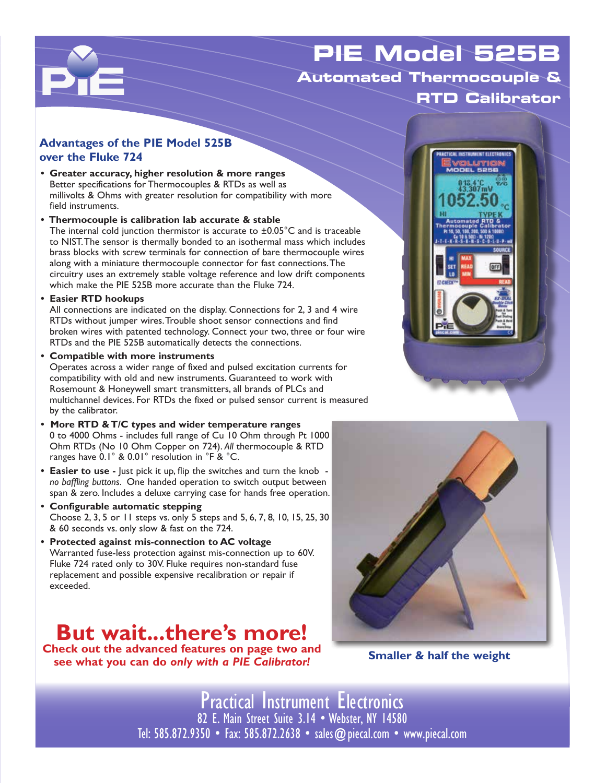## **PIE Model 525B Automated Thermocouple & RTD Calibrator**

#### **Advantages of the PIE Model 525B over the Fluke 724**

- **• Greater accuracy, higher resolution & more ranges** Better specifications for Thermocouples & RTDs as well as millivolts & Ohms with greater resolution for compatibility with more field instruments.
- **Thermocouple is calibration lab accurate & stable** The internal cold junction thermistor is accurate to ±0.05°C and is traceable to NIST. The sensor is thermally bonded to an isothermal mass which includes brass blocks with screw terminals for connection of bare thermocouple wires along with a miniature thermocouple connector for fast connections. The circuitry uses an extremely stable voltage reference and low drift components which make the PIE 525B more accurate than the Fluke 724.
- **• Easier RTD hookups**

 $\mathbf{P}_{\mathbf{I}}$ 

All connections are indicated on the display. Connections for 2, 3 and 4 wire RTDs without jumper wires. Trouble shoot sensor connections and find broken wires with patented technology. Connect your two, three or four wire RTDs and the PIE 525B automatically detects the connections.

**• Compatible with more instruments**

Operates across a wider range of fixed and pulsed excitation currents for compatibility with old and new instruments. Guaranteed to work with Rosemount & Honeywell smart transmitters, all brands of PLCs and multichannel devices. For RTDs the fixed or pulsed sensor current is measured by the calibrator.

- **More RTD & T/C types and wider temperature ranges** 0 to 4000 Ohms - includes full range of Cu 10 Ohm through Pt 1000 Ohm RTDs (No 10 Ohm Copper on 724). *All* thermocouple & RTD ranges have 0.1° & 0.01° resolution in °F & °C.
- **• Easier to use** Just pick it up, flip the switches and turn the knob *no baffling buttons*. One handed operation to switch output between span & zero. Includes a deluxe carrying case for hands free operation.
- **• Configurable automatic stepping** Choose 2, 3, 5 or 11 steps vs. only 5 steps and 5, 6, 7, 8, 10, 15, 25, 30 & 60 seconds vs. only slow & fast on the 724.
- **• Protected against mis-connection to AC voltage** Warranted fuse-less protection against mis-connection up to 60V. Fluke 724 rated only to 30V. Fluke requires non-standard fuse replacement and possible expensive recalibration or repair if exceeded.

# **But wait...there's more!**

**Check out the advanced features on page two and see what you can do** *only with a PIE Calibrator!*





**Smaller & half the weight**

Practical Instrument Electronics 82 E. Main Street Suite 3.14 • Webster, NY 14580 Tel: 585.872.9350 • Fax: 585.872.2638 • sales@piecal.com • www.piecal.com